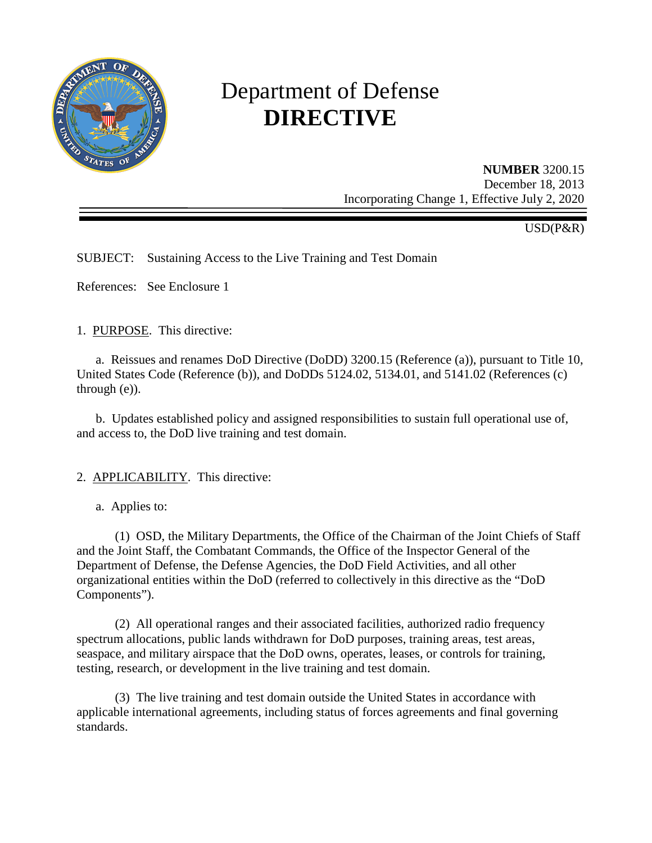

# Department of Defense **DIRECTIVE**

**NUMBER** 3200.15

December 18, 2013 Incorporating Change 1, Effective July 2, 2020

USD(P&R)

SUBJECT: Sustaining Access to the Live Training and Test Domain

References: See Enclosure 1

1. PURPOSE. This directive:

a. Reissues and renames DoD Directive (DoDD) 3200.15 (Reference (a)), pursuant to Title 10, United States Code (Reference (b)), and DoDDs 5124.02, 5134.01, and 5141.02 (References (c) through (e)).

 b. Updates established policy and assigned responsibilities to sustain full operational use of, and access to, the DoD live training and test domain.

# 2. APPLICABILITY. This directive:

a. Applies to:

 (1) OSD, the Military Departments, the Office of the Chairman of the Joint Chiefs of Staff and the Joint Staff, the Combatant Commands, the Office of the Inspector General of the Department of Defense, the Defense Agencies, the DoD Field Activities, and all other organizational entities within the DoD (referred to collectively in this directive as the "DoD Components").

 (2) All operational ranges and their associated facilities, authorized radio frequency spectrum allocations, public lands withdrawn for DoD purposes, training areas, test areas, seaspace, and military airspace that the DoD owns, operates, leases, or controls for training, testing, research, or development in the live training and test domain.

 (3) The live training and test domain outside the United States in accordance with applicable international agreements, including status of forces agreements and final governing standards.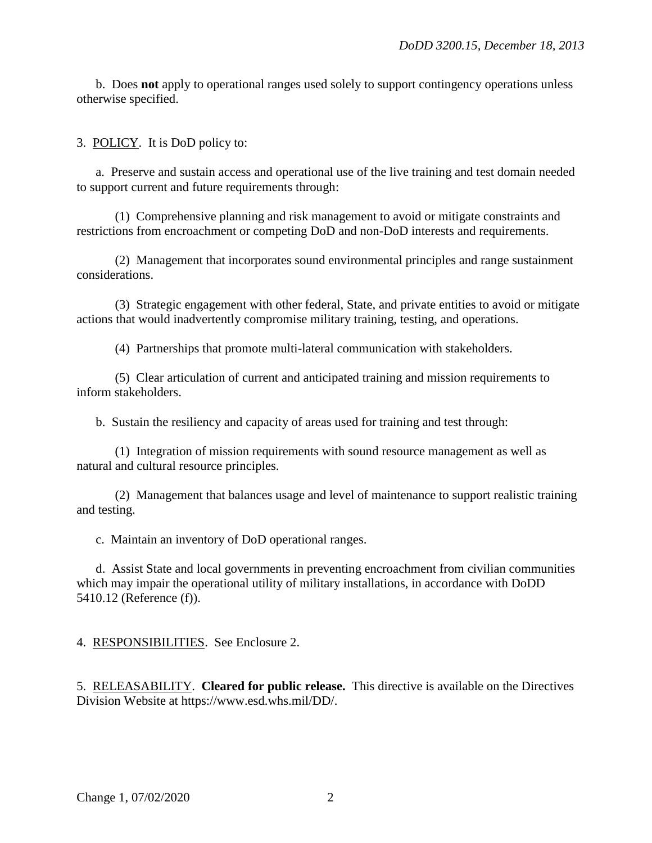b. Does **not** apply to operational ranges used solely to support contingency operations unless otherwise specified.

3. POLICY. It is DoD policy to:

a. Preserve and sustain access and operational use of the live training and test domain needed to support current and future requirements through:

 (1) Comprehensive planning and risk management to avoid or mitigate constraints and restrictions from encroachment or competing DoD and non-DoD interests and requirements.

 (2) Management that incorporates sound environmental principles and range sustainment considerations.

 (3) Strategic engagement with other federal, State, and private entities to avoid or mitigate actions that would inadvertently compromise military training, testing, and operations.

(4) Partnerships that promote multi-lateral communication with stakeholders.

 (5) Clear articulation of current and anticipated training and mission requirements to inform stakeholders.

b. Sustain the resiliency and capacity of areas used for training and test through:

 (1) Integration of mission requirements with sound resource management as well as natural and cultural resource principles.

 (2) Management that balances usage and level of maintenance to support realistic training and testing.

c. Maintain an inventory of DoD operational ranges.

 d. Assist State and local governments in preventing encroachment from civilian communities which may impair the operational utility of military installations, in accordance with DoDD 5410.12 (Reference (f)).

4. RESPONSIBILITIES. See Enclosure 2.

5. RELEASABILITY. **Cleared for public release.** This directive is available on the Directives Division Website at https://www.esd.whs.mil/DD/.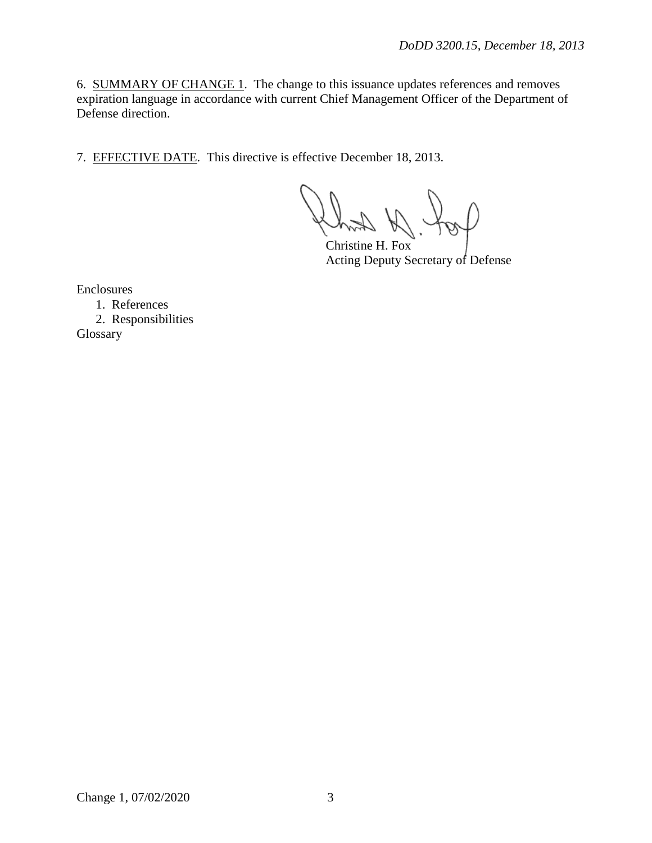6. SUMMARY OF CHANGE 1. The change to this issuance updates references and removes expiration language in accordance with current Chief Management Officer of the Department of Defense direction.

7. EFFECTIVE DATE. This directive is effective December 18, 2013.

Christine H. Fox Acting Deputy Secretary of Defense

Enclosures

1. References 2. Responsibilities Glossary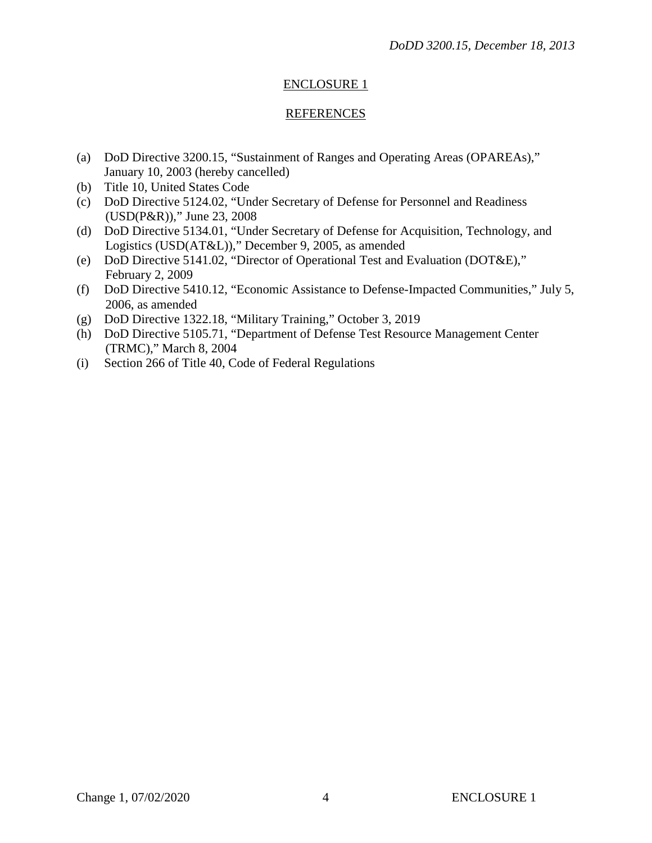# ENCLOSURE 1

# REFERENCES

- (a) DoD Directive 3200.15, "Sustainment of Ranges and Operating Areas (OPAREAs)," January 10, 2003 (hereby cancelled)
- (b) Title 10, United States Code
- (c) DoD Directive 5124.02, "Under Secretary of Defense for Personnel and Readiness (USD(P&R))," June 23, 2008
- (d) DoD Directive 5134.01, "Under Secretary of Defense for Acquisition, Technology, and Logistics (USD(AT&L))," December 9, 2005, as amended
- (e) DoD Directive 5141.02, "Director of Operational Test and Evaluation (DOT&E)," February 2, 2009
- (f) DoD Directive 5410.12, "Economic Assistance to Defense-Impacted Communities," July 5, 2006, as amended
- (g) DoD Directive 1322.18, "Military Training," October 3, 2019
- (h) DoD Directive 5105.71, "Department of Defense Test Resource Management Center (TRMC)," March 8, 2004
- (i) Section 266 of Title 40, Code of Federal Regulations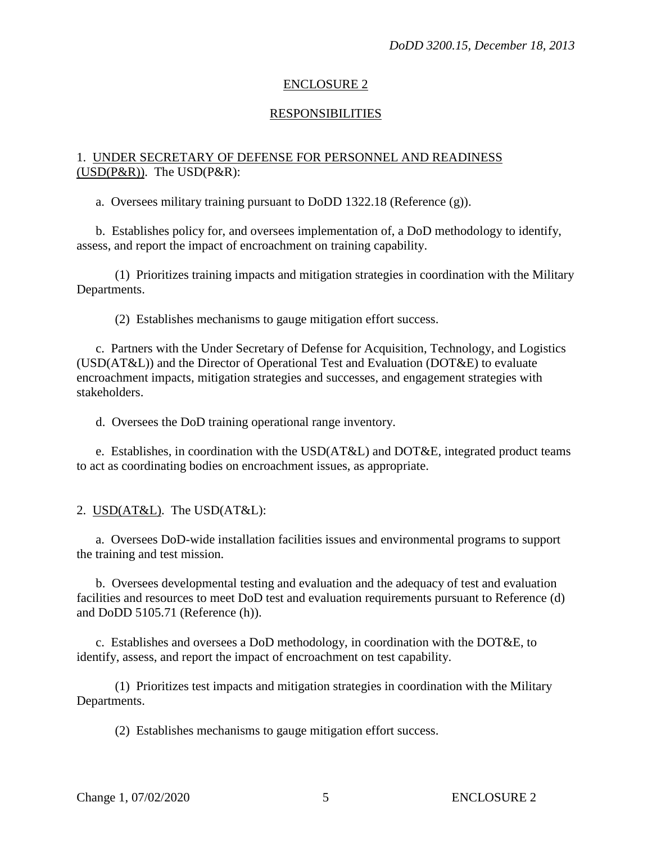## ENCLOSURE 2

#### **RESPONSIBILITIES**

#### 1. UNDER SECRETARY OF DEFENSE FOR PERSONNEL AND READINESS  $(USD(P&R))$ . The  $USD(P&R)$ :

a. Oversees military training pursuant to DoDD 1322.18 (Reference (g)).

b. Establishes policy for, and oversees implementation of, a DoD methodology to identify, assess, and report the impact of encroachment on training capability.

(1) Prioritizes training impacts and mitigation strategies in coordination with the Military Departments.

(2) Establishes mechanisms to gauge mitigation effort success.

c. Partners with the Under Secretary of Defense for Acquisition, Technology, and Logistics (USD(AT&L)) and the Director of Operational Test and Evaluation (DOT&E) to evaluate encroachment impacts, mitigation strategies and successes, and engagement strategies with stakeholders.

d. Oversees the DoD training operational range inventory.

e. Establishes, in coordination with the  $USD(AT&L)$  and  $DOT&E$ , integrated product teams to act as coordinating bodies on encroachment issues, as appropriate.

2. USD(AT&L). The USD(AT&L):

a. Oversees DoD-wide installation facilities issues and environmental programs to support the training and test mission.

b. Oversees developmental testing and evaluation and the adequacy of test and evaluation facilities and resources to meet DoD test and evaluation requirements pursuant to Reference (d) and DoDD 5105.71 (Reference (h)).

c. Establishes and oversees a DoD methodology, in coordination with the DOT&E, to identify, assess, and report the impact of encroachment on test capability.

(1) Prioritizes test impacts and mitigation strategies in coordination with the Military Departments.

(2) Establishes mechanisms to gauge mitigation effort success.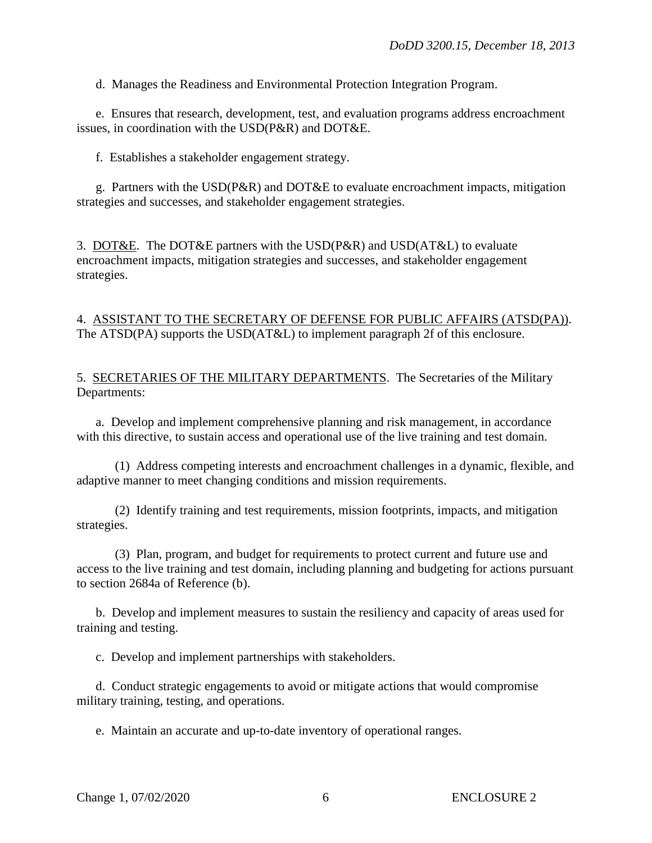d. Manages the Readiness and Environmental Protection Integration Program.

e. Ensures that research, development, test, and evaluation programs address encroachment issues, in coordination with the USD(P&R) and DOT&E.

f. Establishes a stakeholder engagement strategy.

g. Partners with the USD(P&R) and DOT&E to evaluate encroachment impacts, mitigation strategies and successes, and stakeholder engagement strategies.

3. DOT&E. The DOT&E partners with the USD(P&R) and USD(AT&L) to evaluate encroachment impacts, mitigation strategies and successes, and stakeholder engagement strategies.

# 4. ASSISTANT TO THE SECRETARY OF DEFENSE FOR PUBLIC AFFAIRS (ATSD(PA)). The ATSD(PA) supports the USD(AT&L) to implement paragraph 2f of this enclosure.

5. SECRETARIES OF THE MILITARY DEPARTMENTS. The Secretaries of the Military Departments:

a. Develop and implement comprehensive planning and risk management, in accordance with this directive, to sustain access and operational use of the live training and test domain.

(1) Address competing interests and encroachment challenges in a dynamic, flexible, and adaptive manner to meet changing conditions and mission requirements.

(2) Identify training and test requirements, mission footprints, impacts, and mitigation strategies.

(3) Plan, program, and budget for requirements to protect current and future use and access to the live training and test domain, including planning and budgeting for actions pursuant to section 2684a of Reference (b).

b. Develop and implement measures to sustain the resiliency and capacity of areas used for training and testing.

c. Develop and implement partnerships with stakeholders.

d. Conduct strategic engagements to avoid or mitigate actions that would compromise military training, testing, and operations.

e. Maintain an accurate and up-to-date inventory of operational ranges.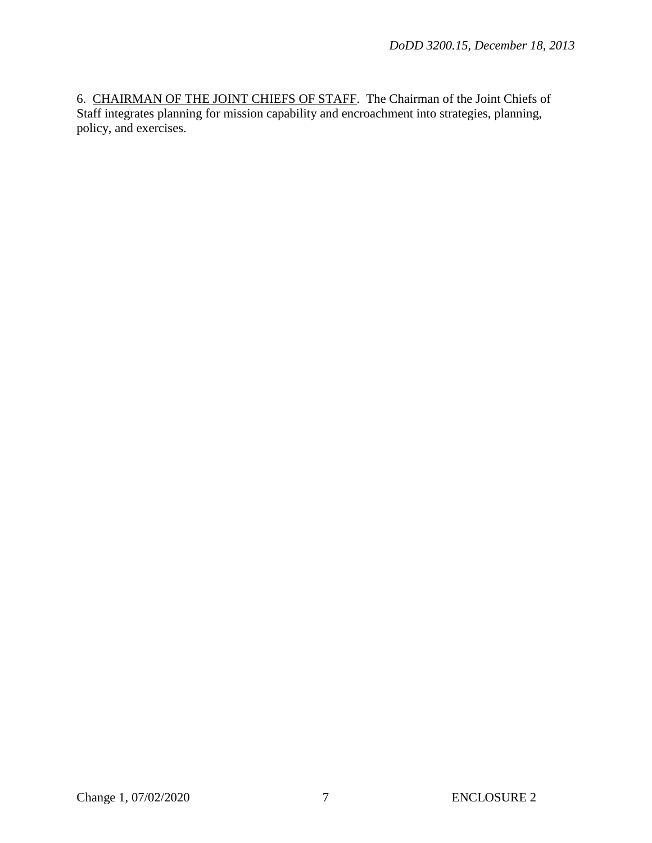6. CHAIRMAN OF THE JOINT CHIEFS OF STAFF. The Chairman of the Joint Chiefs of Staff integrates planning for mission capability and encroachment into strategies, planning, policy, and exercises.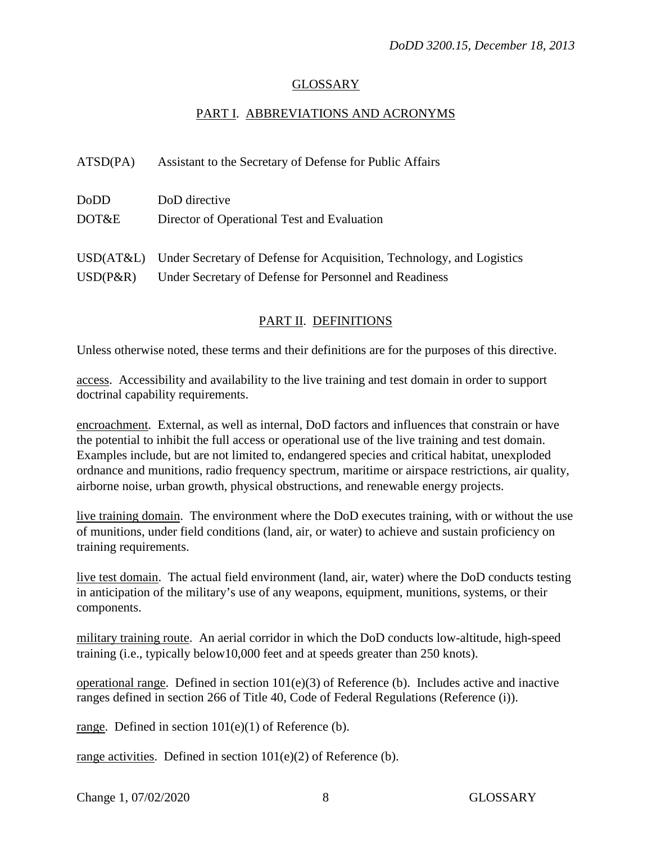# GLOSSARY

# PART I. ABBREVIATIONS AND ACRONYMS

| ATSD(PA)    | Assistant to the Secretary of Defense for Public Affairs                        |
|-------------|---------------------------------------------------------------------------------|
| DoDD        | DoD directive                                                                   |
| DOT&E       | Director of Operational Test and Evaluation                                     |
|             | USD(AT&L) Under Secretary of Defense for Acquisition, Technology, and Logistics |
| $USD(P\&R)$ | Under Secretary of Defense for Personnel and Readiness                          |

# PART II. DEFINITIONS

Unless otherwise noted, these terms and their definitions are for the purposes of this directive.

access. Accessibility and availability to the live training and test domain in order to support doctrinal capability requirements.

encroachment. External, as well as internal, DoD factors and influences that constrain or have the potential to inhibit the full access or operational use of the live training and test domain. Examples include, but are not limited to, endangered species and critical habitat, unexploded ordnance and munitions, radio frequency spectrum, maritime or airspace restrictions, air quality, airborne noise, urban growth, physical obstructions, and renewable energy projects.

live training domain. The environment where the DoD executes training, with or without the use of munitions, under field conditions (land, air, or water) to achieve and sustain proficiency on training requirements.

live test domain. The actual field environment (land, air, water) where the DoD conducts testing in anticipation of the military's use of any weapons, equipment, munitions, systems, or their components.

military training route. An aerial corridor in which the DoD conducts low-altitude, high-speed training (i.e., typically below10,000 feet and at speeds greater than 250 knots).

operational range. Defined in section 101(e)(3) of Reference (b). Includes active and inactive ranges defined in section 266 of Title 40, Code of Federal Regulations (Reference (i)).

range. Defined in section 101(e)(1) of Reference (b).

range activities. Defined in section  $101(e)(2)$  of Reference (b).

Change 1, 07/02/2020 8 GLOSSARY